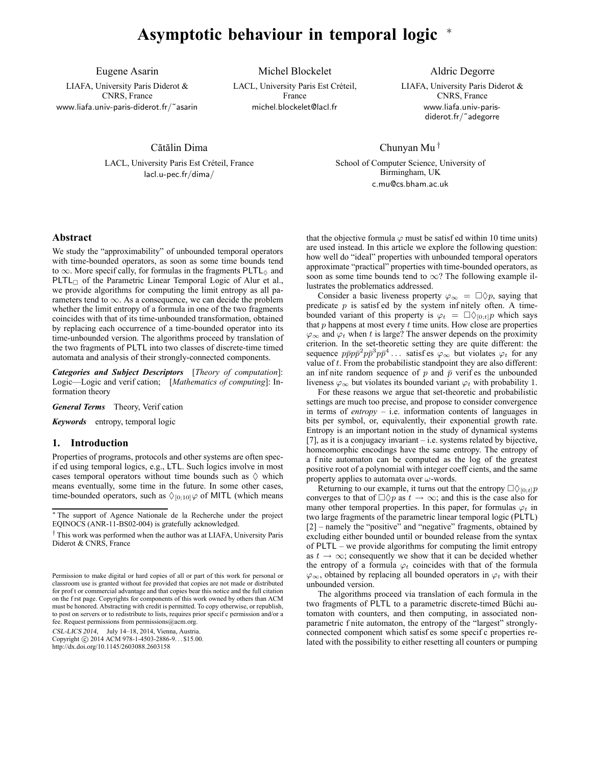# **Asymptotic behaviour in temporal logic** <sup>∗</sup>

Eugene Asarin

LIAFA, University Paris Diderot & CNRS, France www.liafa.univ-paris-diderot.fr/˜asarin

Michel Blockelet LACL, University Paris Est Créteil, France michel.blockelet@lacl.fr

Aldric Degorre LIAFA, University Paris Diderot &

CNRS, France www.liafa.univ-parisdiderot.fr/˜adegorre

Cătălin Dima LACL, University Paris Est Créteil, France lacl.u-pec.fr/dima/

Chunyan Mu †

School of Computer Science, University of Birmingham, UK c.mu@cs.bham.ac.uk

## **Abstract**

We study the "approximability" of unbounded temporal operators with time-bounded operators, as soon as some time bounds tend to  $\infty$ . More specif cally, for formulas in the fragments PLTL $_{\Diamond}$  and  $PLTL_{\Box}$  of the Parametric Linear Temporal Logic of Alur et al., we provide algorithms for computing the limit entropy as all parameters tend to  $\infty$ . As a consequence, we can decide the problem whether the limit entropy of a formula in one of the two fragments coincides with that of its time-unbounded transformation, obtained by replacing each occurrence of a time-bounded operator into its time-unbounded version. The algorithms proceed by translation of the two fragments of PLTL into two classes of discrete-time timed automata and analysis of their strongly-connected components.

*Categories and Subject Descriptors* [*Theory of computation*]: Logic—Logic and verif cation; [*Mathematics of computing*]: Information theory

*General Terms* Theory, Verif cation

*Keywords* entropy, temporal logic

## **1. Introduction**

Properties of programs, protocols and other systems are often specif ed using temporal logics, e.g., LTL. Such logics involve in most cases temporal operators without time bounds such as  $\Diamond$  which means eventually, some time in the future. In some other cases, time-bounded operators, such as  $\Diamond_{[0;10]} \varphi$  of MITL (which means

CSL-LICS 2014, July 14–18, 2014, Vienna, Austria.<br>Copyright © 2014 ACM 978-1-4503-2886-9... \$15.00.

http://dx.doi.org/10.1145/2603088.2603158

that the objective formula  $\varphi$  must be satisf ed within 10 time units) are used instead. In this article we explore the following question: how well do "ideal" properties with unbounded temporal operators approximate "practical" properties with time-bounded operators, as soon as some time bounds tend to  $\infty$ ? The following example illustrates the problematics addressed.

Consider a basic liveness property  $\varphi_{\infty} = \Box \Diamond p$ , saying that predicate  $p$  is satisf ed by the system infinitely often. A timebounded variant of this property is  $\varphi_t = \Box \Diamond_{[0,t]} p$  which says that  $p$  happens at most every  $\hat{t}$  time units. How close are properties  $\varphi_{\infty}$  and  $\varphi_t$  when t is large? The answer depends on the proximity criterion. In the set-theoretic setting they are quite different: the sequence  $p\bar{p}p\bar{p}^2 p\bar{p}^3 p\bar{p}^4 \dots$  satisfies  $\varphi_{\infty}$  but violates  $\varphi_t$  for any value of  $t$ . From the probabilistic standpoint they are also different: an inf nite random sequence of p and  $\bar{p}$  verifies the unbounded liveness  $\varphi_{\infty}$  but violates its bounded variant  $\varphi_t$  with probability 1.

For these reasons we argue that set-theoretic and probabilistic settings are much too precise, and propose to consider convergence in terms of *entropy* – i.e. information contents of languages in bits per symbol, or, equivalently, their exponential growth rate. Entropy is an important notion in the study of dynamical systems [7], as it is a conjugacy invariant – i.e. systems related by bijective, homeomorphic encodings have the same entropy. The entropy of a f nite automaton can be computed as the log of the greatest positive root of a polynomial with integer coeff cients, and the same property applies to automata over  $\omega$ -words.

Returning to our example, it turns out that the entropy  $\Box \Diamond_{[0,t]} p$ converges to that of  $\Box \Diamond p$  as  $t \to \infty$ ; and this is the case also for many other temporal properties. In this paper, for formulas  $\varphi_t$  in two large fragments of the parametric linear temporal logic (PLTL) [2] – namely the "positive" and "negative" fragments, obtained by excluding either bounded until or bounded release from the syntax of PLTL – we provide algorithms for computing the limit entropy as  $t \to \infty$ ; consequently we show that it can be decided whether the entropy of a formula  $\varphi_t$  coincides with that of the formula  $\varphi_{\infty}$ , obtained by replacing all bounded operators in  $\varphi_t$  with their unbounded version.

The algorithms proceed via translation of each formula in the two fragments of PLTL to a parametric discrete-timed Büchi automaton with counters, and then computing, in associated nonparametric f nite automaton, the entropy of the "largest" stronglyconnected component which satisf es some specif c properties related with the possibility to either resetting all counters or pumping

<sup>∗</sup> The support of Agence Nationale de la Recherche under the project EQINOCS (ANR-11-BS02-004) is gratefully acknowledged.

<sup>†</sup> This work was performed when the author was at LIAFA, University Paris Diderot & CNRS, France

Permission to make digital or hard copies of all or part of this work for personal or classroom use is granted without fee provided that copies are not made or distributed for prof t or commercial advantage and that copies bear this notice and the full citation on the f rst page. Copyrights for components of this work owned by others than ACM must be honored. Abstracting with credit is permitted. To copy otherwise, or republish, to post on servers or to redistribute to lists, requires prior specif c permission and/or a fee. Request permissions from permissions@acm.org.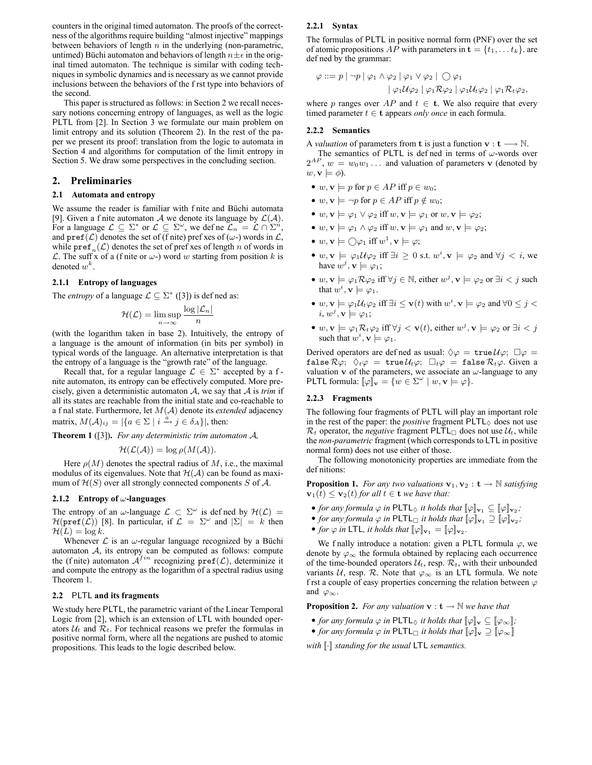counters in the original timed automaton. The proofs of the correctness of the algorithms require building "almost injective" mappings between behaviors of length  $n$  in the underlying (non-parametric, untimed) Büchi automaton and behaviors of length  $n \pm \epsilon$  in the original timed automaton. The technique is similar with coding techniques in symbolic dynamics and is necessary as we cannot provide inclusions between the behaviors of the f rst type into behaviors of the second.

This paper is structured as follows: in Section 2 we recall necessary notions concerning entropy of languages, as well as the logic PLTL from [2]. In Section 3 we formulate our main problem on limit entropy and its solution (Theorem 2). In the rest of the paper we present its proof: translation from the logic to automata in Section 4 and algorithms for computation of the limit entropy in Section 5. We draw some perspectives in the concluding section.

## **2. Preliminaries**

#### **2.1 Automata and entropy**

We assume the reader is familiar with f nite and Büchi automata [9]. Given a f nite automaton A we denote its language by  $\mathcal{L}(\mathcal{A})$ . For a language  $\mathcal{L} \subseteq \Sigma^*$  or  $\mathcal{L} \subseteq \Sigma^\omega$ , we define  $\mathcal{L}_n = \mathcal{L} \cap \Sigma^n$ , and  $\text{pref}(\mathcal{L})$  denotes the set of (f nite) pref xes of ( $\omega$ -) words in  $\mathcal{L}$ , while  $\text{pref}_n(\mathcal{L})$  denotes the set of pref xes of length n of words in L. The suff x of a (f nite or  $\omega$ -) word w starting from position k is denoted  $w^k$ .

#### **2.1.1 Entropy of languages**

The *entropy* of a language  $\mathcal{L} \subseteq \Sigma^*$  ([3]) is defined as:

$$
\mathcal{H}(\mathcal{L}) = \limsup_{n \to \infty} \frac{\log |\mathcal{L}_n|}{n}
$$

(with the logarithm taken in base 2). Intuitively, the entropy of a language is the amount of information (in bits per symbol) in typical words of the language. An alternative interpretation is that the entropy of a language is the "growth rate" of the language.

Recall that, for a regular language  $\mathcal{L} \in \Sigma^*$  accepted by a fnite automaton, its entropy can be effectively computed. More precisely, given a deterministic automaton A, we say that A is *trim* if all its states are reachable from the initial state and co-reachable to a f nal state. Furthermore, let M(A) denote its *extended* adjacency matrix,  $M(\mathcal{A})_{ij} = |\{a \in \Sigma \mid i \stackrel{a}{\rightarrow} j \in \delta_A\}|$ , then:

**Theorem 1** ([3])**.** *For any deterministic trim automaton* A*,*

$$
\mathcal{H}(\mathcal{L}(\mathcal{A})) = \log \rho(M(\mathcal{A})).
$$

Here  $\rho(M)$  denotes the spectral radius of M, i.e., the maximal modulus of its eigenvalues. Note that  $H(A)$  can be found as maximum of  $\mathcal{H}(S)$  over all strongly connected components S of A.

#### **2.1.2 Entropy of** ω**-languages**

The entropy of an  $\omega$ -language  $\mathcal{L} \subset \Sigma^{\omega}$  is defined by  $\mathcal{H}(\mathcal{L}) =$  $\mathcal{H}(\texttt{pref}(\mathcal{L}))$  [8]. In particular, if  $\mathcal{L} = \Sigma^{\omega}$  and  $|\Sigma| = k$  then  $\mathcal{H}(L) = \log k$ .

Whenever  $\mathcal L$  is an  $\omega$ -regular language recognized by a Büchi automaton A, its entropy can be computed as follows: compute the (f nite) automaton  $A^{fin}$  recognizing  $pref(\mathcal{L})$ , determinize it and compute the entropy as the logarithm of a spectral radius using Theorem 1.

#### **2.2** PLTL **and its fragments**

We study here PLTL, the parametric variant of the Linear Temporal Logic from [2], which is an extension of LTL with bounded operators  $U_t$  and  $\mathcal{R}_t$ . For technical reasons we prefer the formulas in positive normal form, where all the negations are pushed to atomic propositions. This leads to the logic described below.

#### **2.2.1 Syntax**

The formulas of PLTL in positive normal form (PNF) over the set of atomic propositions AP with parameters in  $\mathbf{t} = \{t_1, \dots, t_k\}$ . are def ned by the grammar:

$$
\varphi ::= p | \neg p | \varphi_1 \land \varphi_2 | \varphi_1 \lor \varphi_2 | \bigcirc \varphi_1
$$
  
 
$$
| \varphi_1 \mathcal{U} \varphi_2 | \varphi_1 \mathcal{R} \varphi_2 | \varphi_1 \mathcal{U}_t \varphi_2 | \varphi_1 \mathcal{R}_t \varphi_2,
$$

where p ranges over  $AP$  and  $t \in \mathbf{t}$ . We also require that every timed parameter  $t \in \mathbf{t}$  appears *only once* in each formula.

## **2.2.2 Semantics**

A *valuation* of parameters from **t** is just a function  $v : t \longrightarrow N$ .

The semantics of PLTL is defined in terms of  $\omega$ -words over  $2^{AP}$ ,  $w = w_0w_1 \ldots$  and valuation of parameters v (denoted by  $w, \mathbf{v} \models \phi$ ).

- $w, v \models p$  for  $p \in AP$  iff  $p \in w_0$ ;
- $w, v \models \neg p$  for  $p \in AP$  iff  $p \notin w_0$ ;
- w,  $\mathbf{v} \models \varphi_1 \lor \varphi_2$  iff  $w, \mathbf{v} \models \varphi_1$  or  $w, \mathbf{v} \models \varphi_2$ ;
- $w, \mathbf{v} \models \varphi_1 \land \varphi_2$  iff  $w, \mathbf{v} \models \varphi_1$  and  $w, \mathbf{v} \models \varphi_2$ ;
- $w, \mathbf{v} \models \bigcirc \varphi_1 \text{ iff } w^1, \mathbf{v} \models \varphi;$
- $w, \mathbf{v} \models \varphi_1 \mathcal{U} \varphi_2$  iff  $\exists i \geq 0$  s.t.  $w^i, \mathbf{v} \models \varphi_2$  and  $\forall j < i$ , we have  $w^j, \mathbf{v} \models \varphi_1$ ;
- $w, \mathbf{v} \models \varphi_1 \mathcal{R} \varphi_2$  iff  $\forall j \in \mathbb{N}$ , either  $w^j, \mathbf{v} \models \varphi_2$  or  $\exists i < j$  such that  $w^i$ ,  $\mathbf{v} \models \varphi_1$ .
- $w, \mathbf{v} \models \varphi_1 \mathcal{U}_t \varphi_2$  iff  $\exists i \leq \mathbf{v}(t)$  with  $w^i, \mathbf{v} \models \varphi_2$  and  $\forall 0 \leq j <$  $i, w^j, \mathbf{v} \models \varphi_1;$
- $w, \mathbf{v} \models \varphi_1 \mathcal{R}_t \varphi_2$  iff  $\forall j < \mathbf{v}(t)$ , either  $w^j, \mathbf{v} \models \varphi_2$  or  $\exists i < j$ such that  $w^i$ ,  $\mathbf{v} \models \varphi_1$ .

Derived operators are defined as usual:  $\Diamond \varphi = \text{true } \mathcal{U} \varphi$ ;  $\Box \varphi = \Box \varphi$ false  $\mathcal{R}\varphi$ ;  $\Diamond_t\varphi = \text{true}\,\mathcal{U}_t\varphi$ ;  $\Box_t\varphi = \text{false}\,\mathcal{R}_t\varphi$ . Given a valuation v of the parameters, we associate an  $\omega$ -language to any PLTL formula:  $\llbracket \varphi \rrbracket_{\mathbf{v}} = \{ w \in \Sigma^{\omega} \mid w, \mathbf{v} \models \varphi \}.$ 

## **2.2.3 Fragments**

The following four fragments of PLTL will play an important role in the rest of the paper: the *positive* fragment  $PLTL<sub>♦</sub>$  does not use  $\mathcal{R}_t$  operator, the *negative* fragment PLTL<sub> $\Box$ </sub> does not use  $\mathcal{U}_t$ , while the *non-parametric* fragment (which corresponds to LTL in positive normal form) does not use either of those.

The following monotonicity properties are immediate from the def nitions:

**Proposition 1.** *For any two valuations*  $\mathbf{v}_1, \mathbf{v}_2 : \mathbf{t} \to \mathbb{N}$  *satisfying*  $\mathbf{v}_1(t) \leq \mathbf{v}_2(t)$  for all  $t \in \mathbf{t}$  *we have that:* 

- *for any formula*  $\varphi$  *in* PLTL<sub> $\diamondsuit$ </sub> *it holds that*  $[\![\varphi]\!]_{\mathbf{v}_1} \subseteq [\![\varphi]\!]_{\mathbf{v}_2}$ ;
- *for any formula*  $\varphi$  *in* PLTL<sub> $\Box$ </sub> *it holds that*  $[\![\varphi]\!]_{\mathbf{v}_1} \supseteq [\![\varphi]\!]_{\mathbf{v}_2}$ ;
- *for*  $\varphi$  *in* LTL, *it holds that*  $[\![\varphi]\!]_{\mathbf{v}_1} = [\![\varphi]\!]_{\mathbf{v}_2}$ .

We f nally introduce a notation: given a PLTL formula  $\varphi$ , we denote by  $\varphi_{\infty}$  the formula obtained by replacing each occurrence of the time-bounded operators  $\mathcal{U}_t$ , resp.  $\mathcal{R}_t$ , with their unbounded variants U, resp. R. Note that  $\varphi_{\infty}$  is an LTL formula. We note f rst a couple of easy properties concerning the relation between  $\varphi$ and  $\varphi_{\infty}$ .

**Proposition 2.** *For any valuation*  $\mathbf{v} : \mathbf{t} \to \mathbb{N}$  *we have that* 

- *for any formula*  $\varphi$  *in* PLTL<sub> $\Diamond$ </sub> *it holds that*  $[\![\varphi]\!]_v \subseteq [\![\varphi_{\infty}]\!]$ *;*
- *for any formula*  $\varphi$  *in* PLTL<sub> $\Box$ </sub> *it holds that*  $[\varphi]_{\mathbf{v}} \supseteq [\varphi_{\infty}]$

*with*  $\lceil \cdot \rceil$  *standing for the usual* LTL *semantics.*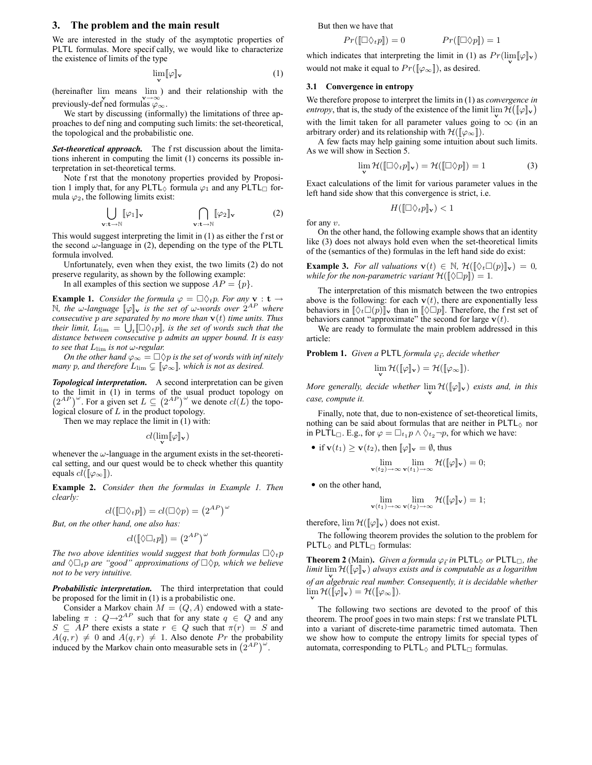## **3. The problem and the main result**

We are interested in the study of the asymptotic properties of PLTL formulas. More specif cally, we would like to characterize the existence of limits of the type

$$
\lim_{\mathbf{v}} \llbracket \varphi \rrbracket_{\mathbf{v}} \tag{1}
$$

(hereinafter lim means lim) and their relationship with the previously-def ned formulas  $\varphi_{\infty}$ .

We start by discussing (informally) the limitations of three approaches to def ning and computing such limits: the set-theoretical, the topological and the probabilistic one.

*Set-theoretical approach.* The f rst discussion about the limitations inherent in computing the limit (1) concerns its possible interpretation in set-theoretical terms.

Note f rst that the monotony properties provided by Proposition 1 imply that, for any PLTL $_{\Diamond}$  formula  $\varphi_1$  and any PLTL formula  $\varphi_2$ , the following limits exist:

$$
\bigcup_{\mathbf{v}:\mathbf{t}\to\mathbb{N}}[\![\varphi_1]\!]_{\mathbf{v}} \qquad \qquad \bigcap_{\mathbf{v}:\mathbf{t}\to\mathbb{N}}[\![\varphi_2]\!]_{\mathbf{v}} \qquad (2)
$$

This would suggest interpreting the limit in (1) as either the f rst or the second  $\omega$ -language in (2), depending on the type of the PLTL formula involved.

Unfortunately, even when they exist, the two limits (2) do not preserve regularity, as shown by the following example:

In all examples of this section we suppose  $AP = \{p\}$ .

**Example 1.** *Consider the formula*  $\varphi = \Box \Diamond_t p$ *. For any* **v** : **t**  $\rightarrow$  $\mathbb N$ , the w-language  $[\![\varphi]\!]_{\mathbf v}$  is the set of w-words over  $2^{AP}$  where *consecutive* p are separated by no more than  $\mathbf{v}(t)$  time units. Thus their limit,  $L_{\text{lim}} = \bigcup_{t} [\Box \Diamond_t p]$ , is the set of words such that the *distance between consecutive* p *admits an upper bound. It is easy to see that*  $L_{\text{lim}}$  *is not* ω-regular.

*On the other hand*  $\varphi_{\infty} = \Box \Diamond p$  *is the set of words with inf nitely many* p, and therefore  $L_{\text{lim}} \subsetneq [\varphi_{\infty}]$ , which is not as desired.

*Topological interpretation.* A second interpretation can be given to the limit in (1) in terms of the usual product topology on  $(2^{AP})^{\omega}$ . For a given set  $L \subseteq (2^{AP})^{\omega}$  we denote  $cl(L)$  the topological closure of L in the product topology.

Then we may replace the limit in (1) with:

 $cl(\lim_{\mathbf{v}}[\![\varphi]\!]_{\mathbf{v}})$ 

whenever the  $\omega$ -language in the argument exists in the set-theoretical setting, and our quest would be to check whether this quantity equals  $cl([\varphi_{\infty}])$ .

**Example 2.** *Consider then the formulas in Example 1. Then clearly:*

$$
cl([\Box \Diamond_t p]]) = cl(\Box \Diamond p) = (2^{AP})^{\omega}
$$

*But, on the other hand, one also has:*

$$
cl([\![\lozenge \square_t p]\!]) = (2^{AP})^{\omega}
$$

*The two above identities would suggest that both formulas*  $\Box \Diamond_t p$ *and*  $\Diamond \Box_t p$  *are "good" approximations of*  $\Box \Diamond p$ *, which we believe not to be very intuitive.*

*Probabilistic interpretation.* The third interpretation that could be proposed for the limit in (1) is a probabilistic one.

Consider a Markov chain  $M = (Q, A)$  endowed with a statelabeling  $\pi$  :  $Q \rightarrow 2^{AP}$  such that for any state  $q \in Q$  and any  $S \subseteq AP$  there exists a state  $r \in Q$  such that  $\pi(r) = S$  and  $A(q, r) \neq 0$  and  $A(q, r) \neq 1$ . Also denote Pr the probability induced by the Markov chain onto measurable sets in  $(2^{AP})^{\omega}$ .

But then we have that

$$
Pr([\Box \Diamond_t p]) = 0 \qquad Pr([\Box \Diamond p]) = 1
$$

which indicates that interpreting the limit in (1) as  $Pr(\lim_{\mathbf{v}}[\varphi]_{\mathbf{v}})$ would not make it equal to  $Pr([\![\varphi_{\infty}]\!])$ , as desired.

## **3.1 Convergence in entropy**

We therefore propose to interpret the limits in (1) as *convergence in entropy*, that is, the study of the existence of the limit  $\lim_{V} \mathcal{H}(\llbracket \varphi \rrbracket_{V})$ with the limit taken for all parameter values going to  $\infty$  (in an arbitrary order) and its relationship with  $\mathcal{H}(\llbracket \varphi_{\infty} \rrbracket)$ .

A few facts may help gaining some intuition about such limits. As we will show in Section 5.

$$
\lim_{\mathbf{v}} \mathcal{H}([\Box \Diamond_t p]_{\mathbf{v}}) = \mathcal{H}([\Box \Diamond p]) = 1 \tag{3}
$$

Exact calculations of the limit for various parameter values in the left hand side show that this convergence is strict, i.e.

$$
H(\llbracket \Box \Diamond_t p \rrbracket_{\mathbf{v}}) < 1
$$

for any v.

On the other hand, the following example shows that an identity like (3) does not always hold even when the set-theoretical limits of the (semantics of the) formulas in the left hand side do exist:

**Example 3.** *For all valuations*  $\mathbf{v}(t) \in \mathbb{N}$ ,  $\mathcal{H}(\llbracket \Diamond_t \Box(p) \rrbracket_{\mathbf{v}}) = 0$ , *while for the non-parametric variant*  $\mathcal{H}([\Diamond \Box p]) = 1$ *.* 

The interpretation of this mismatch between the two entropies above is the following: for each  $\mathbf{v}(t)$ , there are exponentially less behaviors in  $\|\Diamond_t \Box(p)\|_{\mathbf{v}}$  than in  $\|\Diamond \Box p\|$ . Therefore, the f rst set of behaviors cannot "approximate" the second for large  $\mathbf{v}(t)$ .

We are ready to formulate the main problem addressed in this article:

**Problem 1.** Given a PLTL formula  $\varphi_{\vec{t}}$ , decide whether

$$
\lim_{\mathbf{v}}\mathcal{H}([\![\varphi]\!]_{\mathbf{v}})=\mathcal{H}([\![\varphi_{\infty}]\!]).
$$

*More generally, decide whether*  $\lim_{V} H([\varphi]_V)$  *exists and, in this case, compute it.*

Finally, note that, due to non-existence of set-theoretical limits, nothing can be said about formulas that are neither in  $PLTL_{\lozenge}$  nor in PLTL . E.g., for  $\varphi = \Box_{t_1} p \wedge \Diamond_{t_2} \neg p$ , for which we have:

• if 
$$
\mathbf{v}(t_1) \ge \mathbf{v}(t_2)
$$
, then  $\llbracket \varphi \rrbracket_{\mathbf{v}} = \emptyset$ , thus  
\n
$$
\lim_{\mathbf{v}(t_2) \to \infty} \lim_{\mathbf{v}(t_1) \to \infty} \mathcal{H}(\llbracket \varphi \rrbracket_{\mathbf{v}}) = 0;
$$

• on the other hand,

$$
\lim_{\mathbf{v}(t_1)\to\infty}\lim_{\mathbf{v}(t_2)\to\infty}\mathcal{H}(\llbracket\varphi\rrbracket_{\mathbf{v}})=1;
$$

therefore,  $\lim_{\mathbf{v}} \mathcal{H}(\llbracket \varphi \rrbracket_{\mathbf{v}})$  does not exist.

The following theorem provides the solution to the problem for PLTL $_{\Diamond}$  and PLTL $_{\Box}$  formulas:

**Theorem 2** (Main). *Given a formula*  $\varphi_{\vec{t}}$  *in* PLTL<sub> $\Diamond$ </sub> *or* PLTL<sub> $\Box$ </sub>, *the limit*  $\lim_{\mathbf{v}} \mathcal{H}(\llbracket \varphi \rrbracket_{\mathbf{v}})$  always exists and is computable as a logarithm *of an algebraic real number. Consequently, it is decidable whether*  $\lim_{\mathbf{v}} \mathcal{H}([\![\varphi]\!]_{\mathbf{v}}) = \mathcal{H}([\![\varphi_{\infty}]\!]).$ 

The following two sections are devoted to the proof of this theorem. The proof goes in two main steps: f rst we translate PLTL into a variant of discrete-time parametric timed automata. Then we show how to compute the entropy limits for special types of automata, corresponding to  $PLTL_{\Diamond}$  and  $PLTL_{\Box}$  formulas.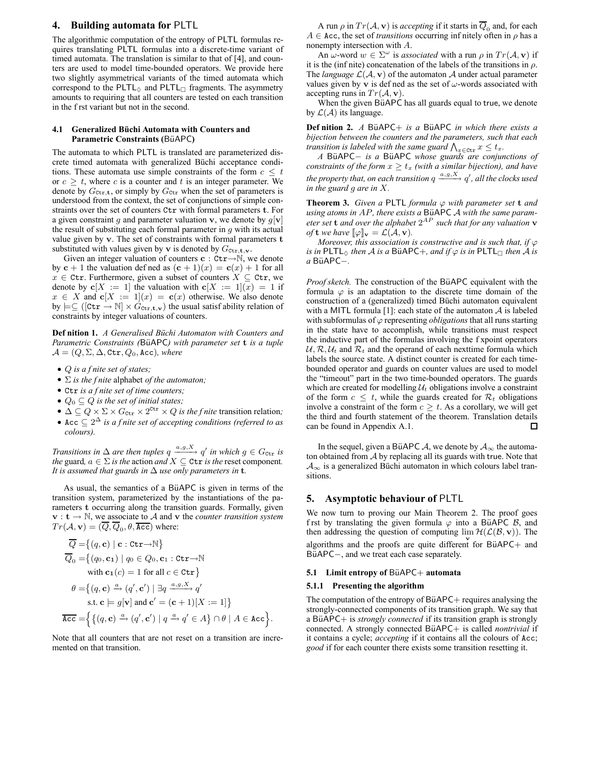## **4. Building automata for** PLTL

The algorithmic computation of the entropy of PLTL formulas requires translating PLTL formulas into a discrete-time variant of timed automata. The translation is similar to that of [4], and counters are used to model time-bounded operators. We provide here two slightly asymmetrical variants of the timed automata which correspond to the PLTL $_{\Diamond}$  and PLTL $_{\Box}$  fragments. The asymmetry amounts to requiring that all counters are tested on each transition in the f rst variant but not in the second.

#### **4.1 Generalized Büchi Automata with Counters and Parametric Constraints (BüAPC)**

The automata to which PLTL is translated are parameterized discrete timed automata with generalized Büchi acceptance conditions. These automata use simple constraints of the form  $c \leq t$ or  $c \geq t$ , where c is a counter and t is an integer parameter. We denote by  $G_{\text{ctr.},t}$ , or simply by  $G_{\text{ctr.}}$  when the set of parameters is understood from the context, the set of conjunctions of simple constraints over the set of counters Ctr with formal parameters t. For a given constraint g and parameter valuation v, we denote by  $g[\mathbf{v}]$ the result of substituting each formal parameter in  $q$  with its actual value given by v. The set of constraints with formal parameters t substituted with values given by  $\bf{v}$  is denoted by  $G_{\text{ctr},\mathbf{t},\mathbf{v}}$ .

Given an integer valuation of counters  $c : \text{ctr}\rightarrow \mathbb{N}$ , we denote by  $c + 1$  the valuation defined as  $(c + 1)(x) = c(x) + 1$  for all  $x \in \text{ctr. Furthermore, given a subset of counters } X \subseteq \text{ctr. we}$ denote by  $c[X := 1]$  the valuation with  $c[X := 1](x) = 1$  if  $x \in X$  and  $c[X := 1](x) = c(x)$  otherwise. We also denote by  $\models \subseteq ([\mathtt{ctr} \rightarrow \mathbb{N}] \times G_{\mathtt{ctr},\mathtt{t},\mathtt{v}})$  the usual satisf ability relation of constraints by integer valuations of counters.

**Def nition 1.** *A Generalised Büchi Automaton with Counters and Parametric Constraints (BüAPC) with parameter set* **t** *is a tuple*  $\mathcal{A} = (Q, \Sigma, \Delta, \texttt{ctr}, Q_0, \texttt{Acc})$ , where

- Q *is a f nite set of states;*
- Σ *is the f nite* alphabet *of the automaton;*
- Ctr *is a f nite set of time counters;*
- $Q_0 \subseteq Q$  *is the set of initial states;*
- $\bullet$   $\Delta \subseteq Q \times \Sigma \times G_{\text{ctr}} \times 2^{\text{ctr}} \times Q$  *is the f nite* transition relation;
- Acc  $\subseteq 2^{\Delta}$  *is a f nite set of accepting conditions (referred to as colours).*

*Transitions in*  $\Delta$  *are then tuples*  $q \xrightarrow{a,g,X} q'$  *in which*  $g \in G_{\text{ctr}}$  *is the* guard,  $a \in \Sigma$  *is the* action *and*  $X \subseteq \text{ctr}$  *is the* reset component. *It is assumed that guards in*  $\Delta$  *use only parameters in* **t***.* 

As usual, the semantics of a BüAPC is given in terms of the transition system, parameterized by the instantiations of the parameters t occurring along the transition guards. Formally, given  $v : t \to \mathbb{N}$ , we associate to A and v the *counter transition system*  $Tr(A, \mathbf{v}) = (\overline{Q}, \overline{Q}_0, \theta, \overline{\text{Acc}})$  where:

$$
\overline{Q} = \{(q, \mathbf{c}) \mid \mathbf{c} : \text{Ctr} \rightarrow \mathbb{N}\}
$$
\n
$$
\overline{Q}_0 = \{(q_0, \mathbf{c}_1) \mid q_0 \in Q_0, \mathbf{c}_1 : \text{Ctr} \rightarrow \mathbb{N}\}
$$
\nwith  $\mathbf{c}_1(c) = 1$  for all  $c \in \text{Ctr}$ \n
$$
\theta = \{(q, \mathbf{c}) \xrightarrow{\alpha} (q', \mathbf{c'}) \mid \exists q \xrightarrow{a, g, X} q'
$$
\n
$$
\text{s.t. } \mathbf{c} \models g[\mathbf{v}] \text{ and } \mathbf{c'} = (\mathbf{c} + 1)[X := 1]\}
$$
\n
$$
\overline{\text{Acc}} = \left\{\{(q, \mathbf{c}) \xrightarrow{\alpha} (q', \mathbf{c'}) \mid q \xrightarrow{\alpha} q' \in A\} \cap \theta \mid A \in \text{Acc}\right\}.
$$

Note that all counters that are not reset on a transition are incremented on that transition.

A run  $\rho$  in  $Tr(\mathcal{A}, \mathbf{v})$  is *accepting* if it starts in  $\overline{Q}_0$  and, for each  $A \in \text{Acc}$ , the set of *transitions* occurring inf nitely often in  $\rho$  has a nonempty intersection with A.

An  $\omega$ -word  $w \in \Sigma^{\omega}$  is *associated* with a run  $\rho$  in  $Tr(A, \mathbf{v})$  if it is the (inf nite) concatenation of the labels of the transitions in  $\rho$ . The *language*  $\mathcal{L}(\mathcal{A}, \mathbf{v})$  of the automaton  $\mathcal{A}$  under actual parameter values given by v is defined as the set of  $\omega$ -words associated with accepting runs in  $Tr(A, v)$ .

When the given BüAPC has all guards equal to true, we denote by  $\mathcal{L}(\mathcal{A})$  its language.

**Def nition 2.** *A* BüAPC+ *is a* BüAPC *in which there exists a bijection between the counters and the parameters, such that each transition is labeled with the same guard*  $\bigwedge_{x \in \texttt{ctr}} x \leq t_x$ .

*A* BüAPC− *is a* BüAPC *whose guards are conjunctions of constraints of the form*  $x \geq t_x$  *(with a similar bijection), and have* the property that, on each transition  $q \xrightarrow{a,g,X} q'$  , all the clocks used *in the guard* g *are in* X*.*

**Theorem 3.** Given a PLTL formula  $\varphi$  with parameter set **t** and *using atoms in AP, there exists a BüAPC A with the same parameter set* t *and over the alphabet* 2 AP *such that for any valuation* v *of* **t** *we have*  $[\![\varphi]\!]_{\mathbf{v}} = \mathcal{L}(\mathcal{A}, \mathbf{v})$ *.* 

*Moreover, this association is constructive and is such that, if*  $\varphi$ *is in* PLTL $\Diamond$  *then* A *is a* BüAPC+*, and if*  $\varphi$  *is in* PLTL $\neg$  *then* A *is a* B¨uAPC−*.*

*Proof sketch*. The construction of the BüAPC equivalent with the formula  $\varphi$  is an adaptation to the discrete time domain of the construction of a (generalized) timed Büchi automaton equivalent with a MITL formula [1]: each state of the automaton  $A$  is labeled with subformulas of  $\varphi$  representing *obligations* that all runs starting in the state have to accomplish, while transitions must respect the inductive part of the formulas involving the f xpoint operators  $U, \mathcal{R}, U_t$  and  $\mathcal{R}_t$  and the operand of each nexttime formula which labels the source state. A distinct counter is created for each timebounded operator and guards on counter values are used to model the "timeout" part in the two time-bounded operators. The guards which are created for modelling  $U_t$  obligations involve a constraint of the form  $c \leq t$ , while the guards created for  $\mathcal{R}_t$  obligations involve a constraint of the form  $c \geq t$ . As a corollary, we will get the third and fourth statement of the theorem. Translation details can be found in Appendix A.1.  $\Box$ 

In the sequel, given a BüAPC A, we denote by  $A_{\infty}$  the automaton obtained from  $A$  by replacing all its guards with true. Note that  $A_{\infty}$  is a generalized Büchi automaton in which colours label transitions.

## **5. Asymptotic behaviour of** PLTL

We now turn to proving our Main Theorem 2. The proof goes f rst by translating the given formula  $\varphi$  into a BüAPC  $\beta$ , and then addressing the question of computing  $\lim_{\mathbf{v}} \mathcal{H}(\mathcal{L}(\mathcal{B}, \mathbf{v}))$ . The algorithms and the proofs are quite different for BüAPC+ and BüAPC−, and we treat each case separately.

#### **5.1 Limit entropy of BüAPC+ automata**

#### **5.1.1 Presenting the algorithm**

The computation of the entropy of  $BiAPC+$  requires analysing the strongly-connected components of its transition graph. We say that a BüAPC+ is *strongly connected* if its transition graph is strongly connected. A strongly connected BüAPC+ is called *nontrivial* if it contains a cycle; *accepting* if it contains all the colours of Acc; *good* if for each counter there exists some transition resetting it.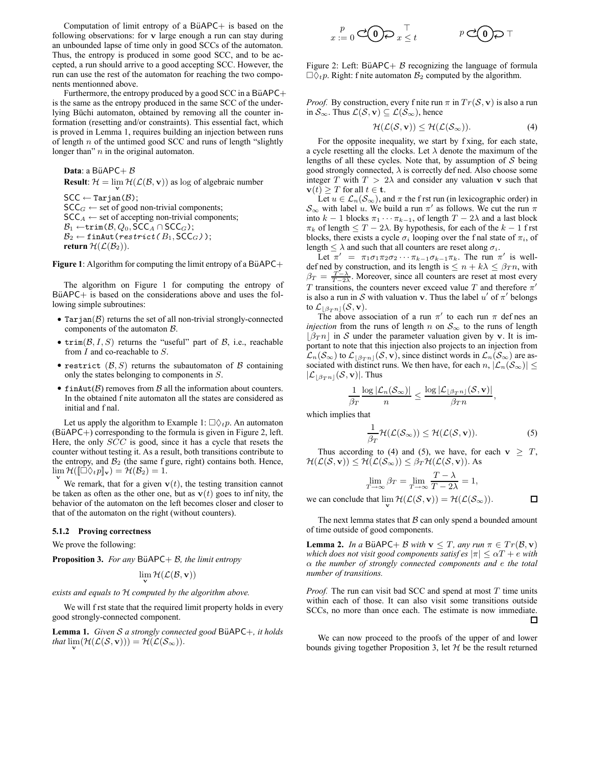Computation of limit entropy of a BüAPC $+$  is based on the following observations: for v large enough a run can stay during an unbounded lapse of time only in good SCCs of the automaton. Thus, the entropy is produced in some good SCC, and to be accepted, a run should arrive to a good accepting SCC. However, the run can use the rest of the automaton for reaching the two components mentionned above.

Furthermore, the entropy produced by a good SCC in a BüAPC $+$ is the same as the entropy produced in the same SCC of the underlying Büchi automaton, obtained by removing all the counter information (resetting and/or constraints). This essential fact, which is proved in Lemma 1, requires building an injection between runs of length  $n$  of the untimed good SCC and runs of length "slightly" longer than"  $n$  in the original automaton.

**Data**: a BüAPC+ $B$ **Result**:  $\mathcal{H} = \lim_{\mathbf{v}} \mathcal{H}(\mathcal{L}(\mathcal{B}, \mathbf{v}))$  as log of algebraic number  $\textsf{SCC} \leftarrow \texttt{Tarjan}(\mathcal{B});$  $\mathsf{SCC}_G \leftarrow \mathsf{set}$  of good non-trivial components;  $SCC_A \leftarrow$  set of accepting non-trivial components;  $\mathcal{B}_1 \leftarrow \texttt{trim}(\mathcal{B}, Q_0, \textsf{SCC}_A \cap \textsf{SCC}_G);$  $\mathcal{B}_2 \leftarrow \texttt{finAut}(\textit{restrict}(B_1,\textsf{SCC}_G));$ **return**  $\mathcal{H}(\mathcal{L}(\mathcal{B}_2))$ .

**Figure 1**: Algorithm for computing the limit entropy of a BüAPC $+$ 

The algorithm on Figure 1 for computing the entropy of  $BiAPC+$  is based on the considerations above and uses the following simple subroutines:

- Tarjan $(\mathcal{B})$  returns the set of all non-trivial strongly-connected components of the automaton B.
- trim $(\mathcal{B}, I, S)$  returns the "useful" part of  $\mathcal{B}$ , i.e., reachable from  $I$  and co-reachable to  $S$ .
- restrict  $(\mathcal{B}, S)$  returns the subautomaton of  $\mathcal B$  containing only the states belonging to components in S.
- finAut $(\beta)$  removes from  $\beta$  all the information about counters. In the obtained f nite automaton all the states are considered as initial and f nal.

Let us apply the algorithm to Example 1:  $\Box \Diamond_t p$ . An automaton  $(B\ddot{u}APC+)$  corresponding to the formula is given in Figure 2, left. Here, the only SCC is good, since it has a cycle that resets the counter without testing it. As a result, both transitions contribute to the entropy, and  $B_2$  (the same f gure, right) contains both. Hence,  $\lim_{\mathbf{v}} \mathcal{H}([\Box \Diamond_t p]_{\mathbf{v}}) = \mathcal{H}(\mathcal{B}_2) = 1.$ 

We remark, that for a given  $\mathbf{v}(t)$ , the testing transition cannot be taken as often as the other one, but as  $\mathbf{v}(t)$  goes to infinity, the behavior of the automaton on the left becomes closer and closer to that of the automaton on the right (without counters).

#### **5.1.2 Proving correctness**

We prove the following:

**Proposition 3.** *For any* BüAPC+  $B$ *, the limit entropy* 

$$
\lim_{\mathbf{v}}\mathcal{H}(\mathcal{L}(\mathcal{B},\mathbf{v}))
$$

*exists and equals to* H *computed by the algorithm above.*

We will f rst state that the required limit property holds in every good strongly-connected component.

**Lemma 1.** *Given* S *a strongly connected good* B¨uAPC+*, it holds that*  $\lim_{\mathbf{v}}(\mathcal{H}(\mathcal{L}(\mathcal{S}, \mathbf{v}))) = \mathcal{H}(\mathcal{L}(\mathcal{S}_{\infty}))$ .

$$
\sum_{x:=0}^{p} \mathbf{C}(\mathbf{0}) \geqslant \sum_{x \leq t}^{\top} \mathbf{C}(\mathbf{0}) \geqslant \top
$$

Figure 2: Left: BüAPC+  $\beta$  recognizing the language of formula  $\Box \Diamond_t p$ . Right: f nite automaton  $\mathcal{B}_2$  computed by the algorithm.

*Proof.* By construction, every f nite run  $\pi$  in  $Tr(S, v)$  is also a run in  $S_{\infty}$ . Thus  $\mathcal{L}(\mathcal{S}, \mathbf{v}) \subseteq \mathcal{L}(\mathcal{S}_{\infty})$ , hence

$$
\mathcal{H}(\mathcal{L}(\mathcal{S}, \mathbf{v})) \le \mathcal{H}(\mathcal{L}(\mathcal{S}_{\infty})).
$$
\n(4)

For the opposite inequality, we start by f xing, for each state, a cycle resetting all the clocks. Let  $\lambda$  denote the maximum of the lengths of all these cycles. Note that, by assumption of  $S$  being good strongly connected,  $\lambda$  is correctly def ned. Also choose some integer T with  $T > 2\lambda$  and consider any valuation v such that  $\mathbf{v}(t) \geq T$  for all  $t \in \mathbf{t}$ .

Let  $u \in \mathcal{L}_n(\mathcal{S}_{\infty})$ , and  $\pi$  the f rst run (in lexicographic order) in  $S_{\infty}$  with label u. We build a run  $\pi'$  as follows. We cut the run  $\pi$ into  $k - 1$  blocks  $\pi_1 \cdots \pi_{k-1}$ , of length  $T - 2\lambda$  and a last block  $π<sub>k</sub>$  of length  $≤ T - 2λ$ . By hypothesis, for each of the  $k - 1$  f rst blocks, there exists a cycle  $\sigma_i$  looping over the f nal state of  $\pi_i$ , of length  $\leq \lambda$  and such that all counters are reset along  $\sigma_i$ .

Let  $\pi' = \pi_1 \sigma_1 \pi_2 \sigma_2 \cdots \pi_{k-1} \sigma_{k-1} \pi_k$ . The run  $\pi'$  is welldef ned by construction, and its length is  $\leq n + k\lambda \leq \beta_T n$ , with  $\beta_T = \frac{T-\lambda}{T-2\lambda}$ . Moreover, since all counters are reset at most every T transitions, the counters never exceed value T and therefore  $\pi'$ is also a run in S with valuation v. Thus the label  $u'$  of  $\pi'$  belongs to  $\mathcal{L}_{|\beta T^{n}|}(\mathcal{S}, \mathbf{v}).$ 

The above association of a run  $\pi'$  to each run  $\pi$  defines an *injection* from the runs of length n on  $S_{\infty}$  to the runs of length  $|\beta_{T} n|$  in S under the parameter valuation given by v. It is important to note that this injection also projects to an injection from  $\mathcal{L}_n(\mathcal{S}_{\infty})$  to  $\mathcal{L}_{|\beta_{T}n|}(\mathcal{S}, \mathbf{v})$ , since distinct words in  $\mathcal{L}_n(\mathcal{S}_{\infty})$  are associated with distinct runs. We then have, for each  $n, |\mathcal{L}_n(\mathcal{S}_{\infty})| \leq$  $|\mathcal{L}_{|\beta T^{n}|}(\mathcal{S}, \mathbf{v})|$ . Thus

$$
\frac{1}{\beta_T} \frac{\log |\mathcal{L}_n(\mathcal{S}_{\infty})|}{n} \le \frac{\log |\mathcal{L}_{\lfloor \beta_T n \rfloor}(\mathcal{S}, \mathbf{v})|}{\beta_T n},
$$

which implies that

$$
\frac{1}{\beta_T} \mathcal{H}(\mathcal{L}(\mathcal{S}_{\infty})) \le \mathcal{H}(\mathcal{L}(\mathcal{S}, \mathbf{v})).
$$
 (5)

 $\Box$ 

Thus according to (4) and (5), we have, for each  $v \geq T$ ,  $\mathcal{H}(\mathcal{L}(\mathcal{S}, \mathbf{v})) \leq \mathcal{H}(\mathcal{L}(\mathcal{S}_{\infty})) \leq \beta_T \mathcal{H}(\mathcal{L}(\mathcal{S}, \mathbf{v}))$ . As

$$
\lim_{T \to \infty} \beta_T = \lim_{T \to \infty} \frac{T - \lambda}{T - 2\lambda} = 1,
$$

we can conclude that  $\lim_{\mathbf{v}} \mathcal{H}(\mathcal{L}(\mathcal{S}, \mathbf{v})) = \mathcal{H}(\mathcal{L}(\mathcal{S}_{\infty}))$ .

The next lemma states that  $B$  can only spend a bounded amount of time outside of good components.

**Lemma 2.** *In a* BüAPC+ *B with*  $\mathbf{v} \leq T$ *, any run*  $\pi \in Tr(\mathcal{B}, \mathbf{v})$ *which does not visit good components satisf es*  $|\pi| \leq \alpha T + e$  *with* α *the number of strongly connected components and* e *the total number of transitions.*

*Proof.* The run can visit bad SCC and spend at most T time units within each of those. It can also visit some transitions outside SCCs, no more than once each. The estimate is now immediate.  $\Box$ 

We can now proceed to the proofs of the upper of and lower bounds giving together Proposition 3, let  $H$  be the result returned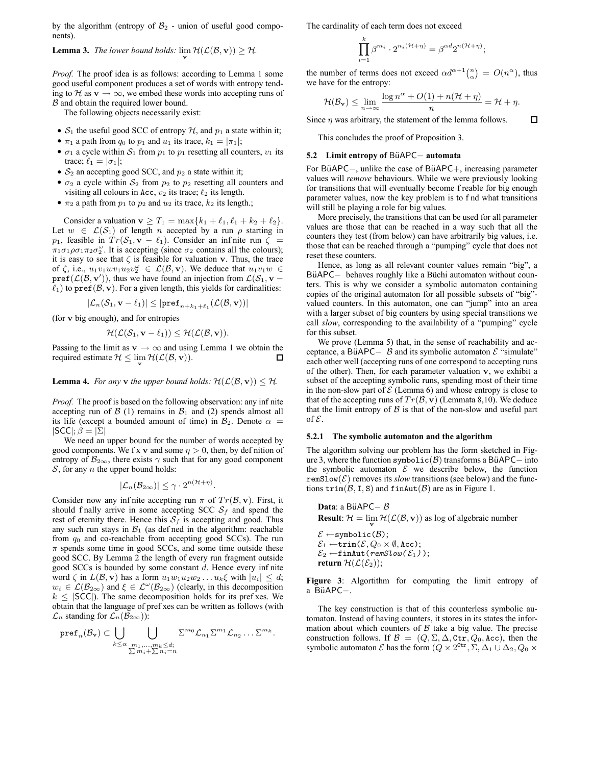by the algorithm (entropy of  $B_2$  - union of useful good components).

## **Lemma 3.** *The lower bound holds:*  $\lim_{\mathbf{v}} \mathcal{H}(\mathcal{L}(\mathcal{B}, \mathbf{v})) \geq \mathcal{H}$ .

*Proof.* The proof idea is as follows: according to Lemma 1 some good useful component produces a set of words with entropy tending to H as  $\mathbf{v} \to \infty$ , we embed these words into accepting runs of B and obtain the required lower bound.

The following objects necessarily exist:

- $S_1$  the useful good SCC of entropy  $H$ , and  $p_1$  a state within it;
- $\pi_1$  a path from  $q_0$  to  $p_1$  and  $u_1$  its trace,  $k_1 = |\pi_1|$ ;
- $\sigma_1$  a cycle within  $S_1$  from  $p_1$  to  $p_1$  resetting all counters,  $v_1$  its trace;  $\ell_1 = |\sigma_1|$ ;
- $S_2$  an accepting good SCC, and  $p_2$  a state within it;
- $\sigma_2$  a cycle within  $S_2$  from  $p_2$  to  $p_2$  resetting all counters and visiting all colours in Acc,  $v_2$  its trace;  $\ell_2$  its length.
- $\pi_2$  a path from  $p_1$  to  $p_2$  and  $u_2$  its trace,  $k_2$  its length.;

Consider a valuation  $\mathbf{v} \geq T_1 = \max\{k_1 + \ell_1, \ell_1 + k_2 + \ell_2\}.$ Let  $w \in \mathcal{L}(\mathcal{S}_1)$  of length n accepted by a run  $\rho$  starting in  $p_1$ , feasible in  $Tr(\mathcal{S}_1, \mathbf{v} - \ell_1)$ . Consider an infinite run  $\zeta =$  $\pi_1 \sigma_1 \rho \sigma_1 \pi_2 \sigma_2^{\omega}$ . It is accepting (since  $\sigma_2$  contains all the colours); it is easy to see that  $\zeta$  is feasible for valuation v. Thus, the trace of  $\zeta$ , i.e.,  $u_1v_1wv_1u_2v_2^{\omega} \in \mathcal{L}(\mathcal{B}, \mathbf{v})$ . We deduce that  $u_1v_1w \in$  $\text{pref}(\mathcal{L}(\mathcal{B}, \mathbf{v}'))$ , thus we have found an injection from  $\mathcal{L}(\mathcal{S}_1, \mathbf{v} - \mathbf{v}')$  $\ell_1$ ) to pref( $\mathcal{B}, \mathbf{v}$ ). For a given length, this yields for cardinalities:

$$
|\mathcal{L}_n(\mathcal{S}_1,\mathbf{v}-\ell_1)|\leq |\texttt{pref}_{n+k_1+\ell_1}(\mathcal{L}(\mathcal{B},\mathbf{v}))|
$$

(for v big enough), and for entropies

$$
\mathcal{H}(\mathcal{L}(\mathcal{S}_1,\mathbf{v}-\ell_1))\leq \mathcal{H}(\mathcal{L}(\mathcal{B},\mathbf{v})).
$$

Passing to the limit as  $\mathbf{v} \to \infty$  and using Lemma 1 we obtain the required estimate  $\mathcal{H} \leq \lim_{\mathbf{v}} \mathcal{H}(\mathcal{L}(\mathcal{B}, \mathbf{v})).$ ப

## **Lemma 4.** *For any* **v** *the upper bound holds:*  $\mathcal{H}(\mathcal{L}(\mathcal{B}, \mathbf{v})) \leq \mathcal{H}$ *.*

*Proof.* The proof is based on the following observation: any inf nite accepting run of  $\beta$  (1) remains in  $\beta_1$  and (2) spends almost all its life (except a bounded amount of time) in  $B_2$ . Denote  $\alpha =$  $|SCC|$ ;  $\beta = |\Sigma|$ 

We need an upper bound for the number of words accepted by good components. We f x v and some  $\eta > 0$ , then, by definition of entropy of  $B_{2\infty}$ , there exists  $\gamma$  such that for any good component  $S$ , for any *n* the upper bound holds:

$$
|\mathcal{L}_n(\mathcal{B}_{2\infty})| \leq \gamma \cdot 2^{n(\mathcal{H}+\eta)}.
$$

Consider now any infinite accepting run  $\pi$  of  $Tr(\mathcal{B}, \mathbf{v})$ . First, it should f nally arrive in some accepting SCC  $S_f$  and spend the rest of eternity there. Hence this  $S_f$  is accepting and good. Thus any such run stays in  $B_1$  (as defined in the algorithm: reachable from  $q_0$  and co-reachable from accepting good SCCs). The run  $\pi$  spends some time in good SCCs, and some time outside these good SCC. By Lemma 2 the length of every run fragment outside good SCCs is bounded by some constant d. Hence every inf nite word  $\zeta$  in  $L(\mathcal{B}, \mathbf{v})$  has a form  $u_1w_1u_2w_2 \ldots u_k\xi$  with  $|u_i| \leq d$ ;  $w_i \in \mathcal{L}(\mathcal{B}_{2\infty})$  and  $\xi \in \mathcal{L}^{\omega}(\mathcal{B}_{2\infty})$  (clearly, in this decomposition  $k \leq |\mathsf{SCC}|$ ). The same decomposition holds for its pref xes. We obtain that the language of pref xes can be written as follows (with  $\mathcal{L}_n$  standing for  $\mathcal{L}_n(\mathcal{B}_{2\infty})$ :

$$
\mathtt{pref}_n(\mathcal{B}_\mathbf{v})\subset \bigcup_{k\leq \alpha}\bigcup_{\substack{m_1,\ldots,m_k\leq d;\\ \sum m_i+\sum n_i=n}}\Sigma^{m_0}\mathcal{L}_{n_1}\Sigma^{m_1}\mathcal{L}_{n_2}\ldots\Sigma^{m_k}.
$$

The cardinality of each term does not exceed

$$
\prod_{i=1}^k \beta^{m_i} \cdot 2^{n_i(\mathcal{H}+\eta)} = \beta^{\alpha d} 2^{n(\mathcal{H}+\eta)};
$$

the number of terms does not exceed  $\alpha d^{\alpha+1} \binom{n}{\alpha} = O(n^{\alpha})$ , thus we have for the entropy:

$$
\mathcal{H}(\mathcal{B}_{\mathbf{v}}) \leq \lim_{n \to \infty} \frac{\log n^{\alpha} + O(1) + n(\mathcal{H} + \eta)}{n} = \mathcal{H} + \eta.
$$

 $\Box$ 

Since  $\eta$  was arbitrary, the statement of the lemma follows.

This concludes the proof of Proposition 3.

## **5.2 Limit entropy of BüAPC− automata**

For BüAPC−, unlike the case of BüAPC+, increasing parameter values will *remove* behaviours. While we were previously looking for transitions that will eventually become f reable for big enough parameter values, now the key problem is to f nd what transitions will still be playing a role for big values.

More precisely, the transitions that can be used for all parameter values are those that can be reached in a way such that all the counters they test (from below) can have arbitrarily big values, i.e. those that can be reached through a "pumping" cycle that does not reset these counters.

Hence, as long as all relevant counter values remain "big", a BüAPC- behaves roughly like a Büchi automaton without counters. This is why we consider a symbolic automaton containing copies of the original automaton for all possible subsets of "big" valued counters. In this automaton, one can "jump" into an area with a larger subset of big counters by using special transitions we call *slow*, corresponding to the availability of a "pumping" cycle for this subset.

We prove (Lemma 5) that, in the sense of reachability and acceptance, a BüAPC $-$  B and its symbolic automaton  $\mathcal E$  "simulate" each other well (accepting runs of one correspond to accepting runs of the other). Then, for each parameter valuation  $v$ , we exhibit a subset of the accepting symbolic runs, spending most of their time in the non-slow part of  $\mathcal E$  (Lemma 6) and whose entropy is close to that of the accepting runs of  $Tr(\mathcal{B}, \mathbf{v})$  (Lemmata 8,10). We deduce that the limit entropy of  $\beta$  is that of the non-slow and useful part of  $\mathcal{E}$ .

#### **5.2.1 The symbolic automaton and the algorithm**

The algorithm solving our problem has the form sketched in Figure 3, where the function symbolic( $\beta$ ) transforms a BüAPC– into the symbolic automaton  $\mathcal E$  we describe below, the function remSlow( $\mathcal{E}$ ) removes its *slow* transitions (see below) and the functions  $\text{trim}(\mathcal{B}, I, S)$  and  $\text{finAut}(\mathcal{B})$  are as in Figure 1.

**Data**: a BiAPC- 
$$
\beta
$$
  
\n**Result**:  $\mathcal{H} = \lim_{v} \mathcal{H}(\mathcal{L}(\mathcal{B}, v))$  as log of algebraic number  
\n $\mathcal{E} \leftarrow$  symbolic( $\mathcal{B}$ );  
\n $\mathcal{E}_1 \leftarrow$  trim( $\mathcal{E} \cdot \mathcal{O}_0 \times \emptyset$  Acc):

 $\texttt{m}\xspace(\mathcal{L}\xspace, \texttt{Q}\xspace_0 \times \texttt{W}\xspace, \texttt{A}\xspace$  $\mathcal{E}_2 \leftarrow$ finAut(remSlow( $\mathcal{E}_1$ ); **return**  $\mathcal{H}(\mathcal{L}(\mathcal{E}_2))$ ;

**Figure 3**: Algortithm for computing the limit entropy of a BüAPC−.

The key construction is that of this counterless symbolic automaton. Instead of having counters, it stores in its states the information about which counters of  $\beta$  take a big value. The precise construction follows. If  $\mathcal{B} = (Q, \Sigma, \Delta, \texttt{ctr}, Q_0, \texttt{Acc})$ , then the symbolic automaton  $\mathcal E$  has the form  $(Q \times 2^{\texttt{ctr}}, \Sigma, \Delta_1 \cup \Delta_2, Q_0 \times$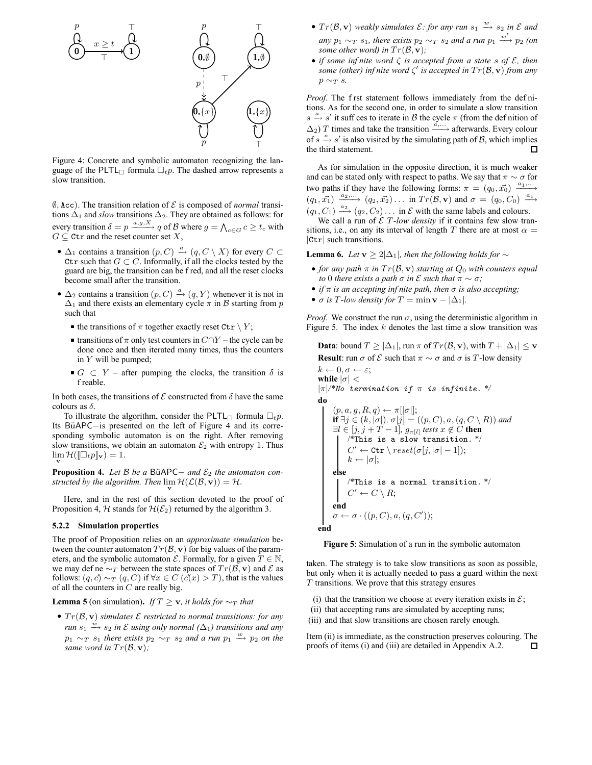

Figure 4: Concrete and symbolic automaton recognizing the language of the PLTL formula  $\Box_t p$ . The dashed arrow represents a slow transition.

 $\emptyset$ , Acc). The transition relation of  $\mathcal E$  is composed of *normal* transitions  $\Delta_1$  and *slow* transitions  $\Delta_2$ . They are obtained as follows: for every transition  $\delta = p \xrightarrow{a,g,X} q$  of B where  $g = \bigwedge_{c \in G} c \ge t_c$  with  $G \subseteq \text{ctr}$  and the reset counter set X,

- $\Delta_1$  contains a transition  $(p, C) \stackrel{a}{\rightarrow} (q, C \setminus X)$  for every  $C \subset$ Ctr such that  $G \subset C$ . Informally, if all the clocks tested by the guard are big, the transition can be f red, and all the reset clocks become small after the transition.
- $\Delta_2$  contains a transition  $(p, C) \stackrel{a}{\rightarrow} (q, Y)$  whenever it is not in  $\Delta_1$  and there exists an elementary cycle  $\pi$  in B starting from p such that
	- the transitions of  $\pi$  together exactly reset Ctr  $\setminus Y$ ;
	- transitions of  $π$  only test counters in  $C \cap Y$  the cycle can be done once and then iterated many times, thus the counters in  $Y$  will be pumped;
	- $G \subset Y$  after pumping the clocks, the transition  $\delta$  is f reable.

In both cases, the transitions of  $\mathcal E$  constructed from  $\delta$  have the same colours as  $\delta$ .

To illustrate the algorithm, consider the PLTL formula  $\Box_t p$ . Its BüAPC-is presented on the left of Figure 4 and its corresponding symbolic automaton is on the right. After removing slow transitions, we obtain an automaton  $\mathcal{E}_2$  with entropy 1. Thus  $\lim_{\mathbf{v}} \mathcal{H}([\Box_t p]_{\mathbf{v}}) = 1.$ 

**Proposition 4.** *Let B be a* BüAPC− *and*  $\mathcal{E}_2$  *the automaton constructed by the algorithm. Then*  $\lim_{\mathbf{v}} \mathcal{H}(\mathcal{L}(\mathcal{B}, \mathbf{v})) = \mathcal{H}$ .

Here, and in the rest of this section devoted to the proof of Proposition 4, H stands for  $H(\mathcal{E}_2)$  returned by the algorithm 3.

## **5.2.2 Simulation properties**

The proof of Proposition relies on an *approximate simulation* between the counter automaton  $Tr(\mathcal{B}, \mathbf{v})$  for big values of the parameters, and the symbolic automaton  $\mathcal{E}$ . Formally, for a given  $T \in \mathbb{N}$ , we may def ne  $\sim_T$  between the state spaces of  $Tr(\mathcal{B}, \mathbf{v})$  and  $\mathcal E$  as follows:  $(q,\vec{c}) \sim_T (q,C)$  if  $\forall x \in C$  ( $\vec{c}(x) > T$ ), that is the values of all the counters in  $C$  are really big.

**Lemma 5** (on simulation). *If*  $T \ge v$ *, it holds for*  $\sim_T$  *that* 

•  $Tr(\mathcal{B}, \mathbf{v})$  *simulates*  $\mathcal E$  *restricted to normal transitions: for any run*  $s_1 \stackrel{w}{\longrightarrow} s_2$  *in*  $\mathcal E$  *using only normal* ( $\Delta_1$ ) *transitions and any*  $p_1 \sim_T s_1$  *there exists*  $p_2 \sim_T s_2$  *and a run*  $p_1 \stackrel{w}{\longrightarrow} p_2$  *on the same word in*  $Tr(\mathcal{B}, \mathbf{v})$ *;* 

- $Tr(\mathcal{B}, \mathbf{v})$  *weakly simulates*  $\mathcal{E}:$  *for any run*  $s_1 \stackrel{w}{\longrightarrow} s_2$  *in*  $\mathcal{E}$  *and*  $\frac{w}{p_1}$   $\sim_T s_1$ , there exists  $p_2 \sim_T s_2$  and a run  $p_1 \stackrel{w'}{\longrightarrow} p_2$  (on *some other word) in*  $Tr(\mathcal{B}, \mathbf{v})$ *;*
- *if some inf nite word* ζ *is accepted from a state* s *of* E*, then some (other) inf nite word* ζ ′ *is accepted in* Tr(B, v) *from any*  $p \sim_T s$ .

*Proof.* The f rst statement follows immediately from the definitions. As for the second one, in order to simulate a slow transition  $s \xrightarrow{a} s'$  it suff ces to iterate in B the cycle  $\pi$  (from the definition of  $\Delta_2$ ) T times and take the transition  $\stackrel{a, \dots}{\longrightarrow}$  afterwards. Every colour of  $s \xrightarrow{a} s'$  is also visited by the simulating path of  $\mathcal{B}$ , which implies the third statement. П

As for simulation in the opposite direction, it is much weaker and can be stated only with respect to paths. We say that  $\pi \sim \sigma$  for two paths if they have the following forms:  $\pi = (q_0, \vec{x_0}) \xrightarrow{a_1, \dots}$  $(q_1, \vec{x_1}) \xrightarrow{a_2, \dots} (q_2, \vec{x_2}) \dots$  in  $Tr(\mathcal{B}, \mathbf{v})$  and  $\sigma = (q_0, C_0) \xrightarrow{a_1}$  $(q_1, C_1) \stackrel{a_2}{\longrightarrow} (q_2, C_2) \dots$  in  $\mathcal E$  with the same labels and colours.

We call a run of  $\mathcal E$  *T*-low density if it contains few slow transitions, i.e., on any its interval of length T there are at most  $\alpha =$ |Ctr| such transitions.

**Lemma 6.** *Let*  $\mathbf{v}$  ≥ 2| $\Delta$ <sub>1</sub>*, then the following holds for*  $\sim$ 

- *for any path*  $\pi$  *in*  $Tr(\mathcal{B}, \mathbf{v})$  *starting at*  $Q_0$  *with counters equal to* 0 *there exists a path*  $\sigma$  *in*  $\mathcal E$  *such that*  $\pi \sim \sigma$ *;*
- *if*  $\pi$  *is an accepting inf nite path, then*  $\sigma$  *is also accepting;*
- $\sigma$  *is* T-low density for  $T = \min \mathbf{v} |\Delta_1|$ .

*Proof.* We construct the run  $\sigma$ , using the deterministic algorithm in Figure 5. The index  $k$  denotes the last time a slow transition was

**Data**: bound 
$$
T \ge |\Delta_1|
$$
, run  $\pi$  of  $Tr(\mathcal{B}, \mathbf{v})$ , with  $T + |\Delta_1| \le \mathbf{v}$ 

**Result**: run  $\sigma$  of  $\mathcal E$  such that  $\pi \sim \sigma$  and  $\sigma$  is T-low density

$$
k \leftarrow 0, \sigma \leftarrow \varepsilon;
$$
\nwhile  $|\sigma| <$ \n $|\pi|/^*No \quad \text{termination if } \pi \text{ is infinite. } */$ \n
$$
\text{do}
$$
\n
$$
\begin{array}{l}\n\text{if } \exists j \in (k, |\sigma|), \sigma[j] = ((p, C), a, (q, C \setminus R)) \text{ and } \\
\exists l \in [j, j + T - 1], g_{\pi[l]} \text{ tests } x \notin C \text{ then}\n\end{array}
$$
\n
$$
\begin{array}{l}\n\exists l \in [j, j + T - 1], g_{\pi[l]} \text{ tests } x \notin C \text{ then } \\
\downarrow^* \text{This is a slow transition. } */ \\
C' \leftarrow \text{Ctr} \setminus \text{reset}(\sigma[j, |\sigma| - 1]); \\
k \leftarrow |\sigma|; \\
C' \leftarrow C \setminus R; \\
\text{end} \\
\sigma \leftarrow \sigma \cdot ((p, C), a, (q, C')), \\
\text{end} \\
\text{end}
$$

**Figure 5**: Simulation of a run in the symbolic automaton

taken. The strategy is to take slow transitions as soon as possible, but only when it is actually needed to pass a guard within the next  $T$  transitions. We prove that this strategy ensures

- (i) that the transition we choose at every iteration exists in  $\mathcal{E}$ ;
- (ii) that accepting runs are simulated by accepting runs;
- (iii) and that slow transitions are chosen rarely enough.

Item (ii) is immediate, as the construction preserves colouring. The proofs of items (i) and (iii) are detailed in Appendix A.2. $\Box$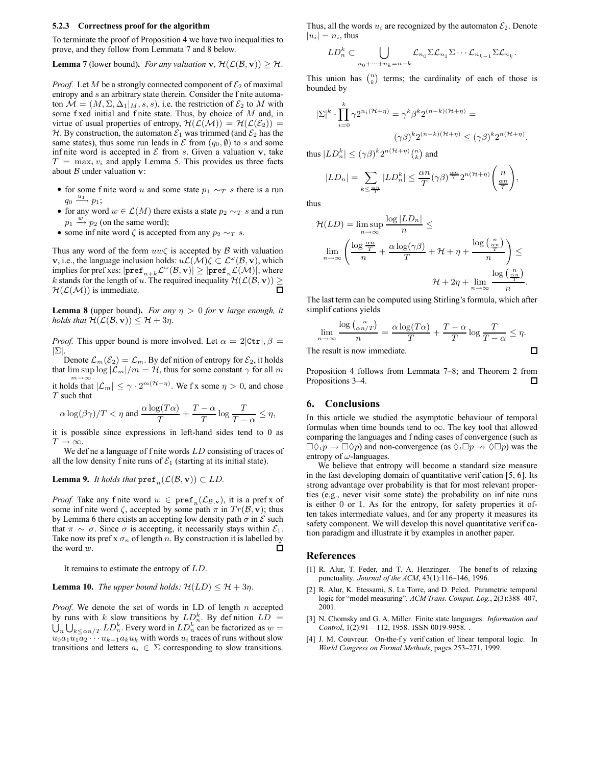#### **5.2.3 Correctness proof for the algorithm**

To terminate the proof of Proposition 4 we have two inequalities to prove, and they follow from Lemmata 7 and 8 below.

**Lemma 7** (lower bound). *For any valuation* **v**,  $\mathcal{H}(\mathcal{L}(\mathcal{B}, \mathbf{v})) \geq \mathcal{H}$ .

*Proof.* Let M be a strongly connected component of  $\mathcal{E}_2$  of maximal entropy and s an arbitrary state therein. Consider the f nite automaton  $\mathcal{M} = (M, \Sigma, \Delta_1 |_M, s, s)$ , i.e. the restriction of  $\mathcal{E}_2$  to M with some f xed initial and f nite state. Thus, by choice of M and, in virtue of usual properties of entropy,  $\mathcal{H}(\mathcal{L}(\mathcal{M})) = \mathcal{H}(\mathcal{L}(\mathcal{E}_2)) =$ H. By construction, the automaton  $\mathcal{E}_1$  was trimmed (and  $\mathcal{E}_2$  has the same states), thus some run leads in  $\mathcal E$  from  $(q_0, \emptyset)$  to s and some inf nite word is accepted in  $\mathcal E$  from s. Given a valuation  $\mathbf v$ , take  $T = \max_i v_i$  and apply Lemma 5. This provides us three facts about  $B$  under valuation  $v$ :

- for some f nite word u and some state  $p_1 \sim_T s$  there is a run  $q_0 \stackrel{u_1}{\longrightarrow} p_1;$
- for any word  $w \in \mathcal{L}(M)$  there exists a state  $p_2 \sim_T s$  and a run  $p_1 \stackrel{w}{\longrightarrow} p_2$  (on the same word);
- some infinite word  $\zeta$  is accepted from any  $p_2 \sim_T s$ .

Thus any word of the form  $uw\zeta$  is accepted by B with valuation **v**, i.e., the language inclusion holds:  $u\mathcal{L}(\mathcal{M})\zeta \subset \mathcal{L}^{\omega}(\mathcal{B}, \mathbf{v})$ , which implies for pref xes:  $|\mathbf{pref}_{n+k}\mathcal{L}^\omega(\mathcal{B},\mathbf{v})| \geq |\mathbf{pref}_n\mathcal{L}(\mathcal{M})|$ , where k stands for the length of u. The required inequality  $\mathcal{H}(\mathcal{L}(\mathcal{B}, \mathbf{v})) \geq$  $\Box$  $H(L(M))$  is immediate.

**Lemma 8** (upper bound). *For any*  $\eta > 0$  *for* v *large enough, it holds that*  $\mathcal{H}(\mathcal{L}(\mathcal{B}, \mathbf{v})) \leq \mathcal{H} + 3\eta$ .

*Proof.* This upper bound is more involved. Let  $\alpha = 2|\text{ctr}|$ ,  $\beta =$  $|\Sigma|.$ 

Denote  $\mathcal{L}_m(\mathcal{E}_2) = \mathcal{L}_m$ . By definition of entropy for  $\mathcal{E}_2$ , it holds that  $\limsup \log |\mathcal{L}_m|/m = \mathcal{H}$ , thus for some constant  $\gamma$  for all m  $m \rightarrow \infty$ 

it holds that  $|\mathcal{L}_m| \leq \gamma \cdot 2^{m(\mathcal{H}+\eta)}$ . We f x some  $\eta > 0$ , and chose  $T$  such that

$$
\alpha \log(\beta \gamma)/T < \eta \text{ and } \frac{\alpha \log(T\alpha)}{T} + \frac{T-\alpha}{T} \log \frac{T}{T-\alpha} \le \eta,
$$

it is possible since expressions in left-hand sides tend to 0 as  $T \to \infty$ 

We def ne a language of f nite words LD consisting of traces of all the low density f nite runs of  $\mathcal{E}_1$  (starting at its initial state).

**Lemma 9.** *It holds that*  $\text{pref}_n(\mathcal{L}(\mathcal{B}, \mathbf{v})) \subset LD$ .

*Proof.* Take any finite word  $w \in \text{pref}_n(\mathcal{L}_{\mathcal{B},\mathbf{v}})$ , it is a prefx of some inf nite word  $\zeta$ , accepted by some path  $\pi$  in  $Tr(\mathcal{B}, \mathbf{v})$ ; thus by Lemma 6 there exists an accepting low density path  $\sigma$  in  $\mathcal E$  such that  $\pi \sim \sigma$ . Since  $\sigma$  is accepting, it necessarily stays within  $\mathcal{E}_1$ . Take now its pref x  $\sigma_n$  of length n. By construction it is labelled by the word w. □

It remains to estimate the entropy of LD.

**Lemma 10.** *The upper bound holds:*  $\mathcal{H}(LD) \leq \mathcal{H} + 3\eta$ .

*Proof.* We denote the set of words in LD of length  $n$  accepted by runs with k slow transitions by  $LD_n^k$ . By definition  $LD =$ by runs with k slow transitions by  $LD_n^k$ . By definition  $LD =$ <br> $\bigcup_n \bigcup_{k \le \alpha n/T} LD_n^k$ . Every word in  $LD_n^k$  can be factorized as  $w =$  $u_0a_1u_1a_2 \cdots u_{k-1}a_ku_k$  with words  $u_i$  traces of runs without slow transitions and letters  $a_i \in \Sigma$  corresponding to slow transitions. Thus, all the words  $u_i$  are recognized by the automaton  $\mathcal{E}_2$ . Denote  $|u_i| = n_i$ , thus

$$
LD_n^k \subset \bigcup_{n_0+\cdots+n_k=n-k} \mathcal{L}_{n_0} \Sigma \mathcal{L}_{n_1} \Sigma \cdots \mathcal{L}_{n_{k-1}} \Sigma \mathcal{L}_{n_k}.
$$

This union has  $\binom{n}{k}$  terms; the cardinality of each of those is bounded by

$$
|\Sigma|^{k} \cdot \prod_{i=0}^{k} \gamma 2^{n_i(\mathcal{H}+\eta)} = \gamma^{k} \beta^{k} 2^{(n-k)(\mathcal{H}+\eta)} =
$$

$$
(\gamma \beta)^{k} 2^{(n-k)(\mathcal{H}+\eta)} \leq (\gamma \beta)^{k} 2^{n(\mathcal{H}+\eta)}
$$

,

thus  $|LD_n^k| \leq (\gamma \beta)^k 2^{n(\mathcal{H}+\eta)} {n \choose k}$  and

$$
|LD_n| = \sum_{k \le \frac{\alpha n}{T}} |LD_n^k| \le \frac{\alpha n}{T} (\gamma \beta)^{\frac{\alpha n}{T}} 2^{n(\mathcal{H} + \eta)} \binom{n}{\frac{\alpha n}{T}},
$$

thus

$$
\mathcal{H}(LD) = \limsup_{n \to \infty} \frac{\log |LD_n|}{n} \le
$$
  

$$
\lim_{n \to \infty} \left( \frac{\log \frac{\alpha n}{T}}{n} + \frac{\alpha \log(\gamma \beta)}{T} + \mathcal{H} + \eta + \frac{\log \left( \frac{n}{T} \right)}{n} \right) \le
$$
  

$$
\mathcal{H} + 2\eta + \lim_{n \to \infty} \frac{\log \left( \frac{n}{T} \right)}{n}.
$$

The last term can be computed using Stirling's formula, which after simplif cations yields

$$
\lim_{n \to \infty} \frac{\log {n \choose \alpha n/T}}{n} = \frac{\alpha \log(T\alpha)}{T} + \frac{T - \alpha}{T} \log \frac{T}{T - \alpha} \le \eta.
$$
\nThe result is now immediate.

The result is now immediate.

Proposition 4 follows from Lemmata 7–8; and Theorem 2 from Propositions 3–4.  $\Box$ 

## **6. Conclusions**

In this article we studied the asymptotic behaviour of temporal formulas when time bounds tend to  $\infty$ . The key tool that allowed comparing the languages and f nding cases of convergence (such as  $\Box \Diamond_t p \to \Box \Diamond p$ ) and non-convergence (as  $\Diamond_t \Box p \to \Diamond \Box p$ ) was the entropy of  $\omega$ -languages.

We believe that entropy will become a standard size measure in the fast developing domain of quantitative verif cation [5, 6]. Its strong advantage over probability is that for most relevant properties (e.g., never visit some state) the probability on inf nite runs is either 0 or 1. As for the entropy, for safety properties it often takes intermediate values, and for any property it measures its safety component. We will develop this novel quantitative verif cation paradigm and illustrate it by examples in another paper.

## **References**

- [1] R. Alur, T. Feder, and T. A. Henzinger. The benef ts of relaxing punctuality. *Journal of the ACM*, 43(1):116–146, 1996.
- [2] R. Alur, K. Etessami, S. La Torre, and D. Peled. Parametric temporal logic for "model measuring". *ACM Trans. Comput. Log.*, 2(3):388–407, 2001.
- [3] N. Chomsky and G. A. Miller. Finite state languages. *Information and Control*, 1(2):91 – 112, 1958. ISSN 0019-9958. .
- [4] J. M. Couvreur. On-the-f y verif cation of linear temporal logic. In *World Congress on Formal Methods*, pages 253–271, 1999.